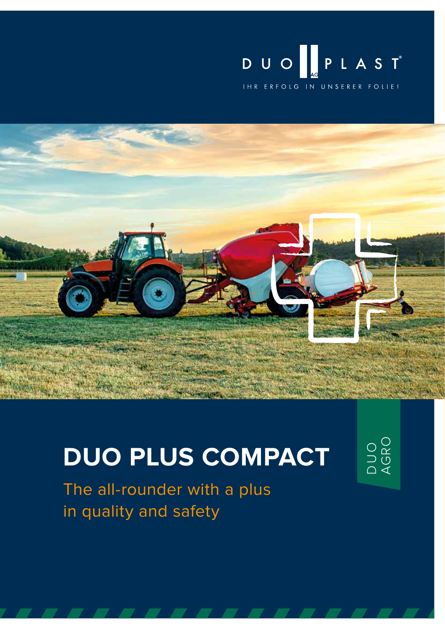



# **DUO PLUS COMPACT**

D U O AGRO

The all-rounder with a plus in quality and safety